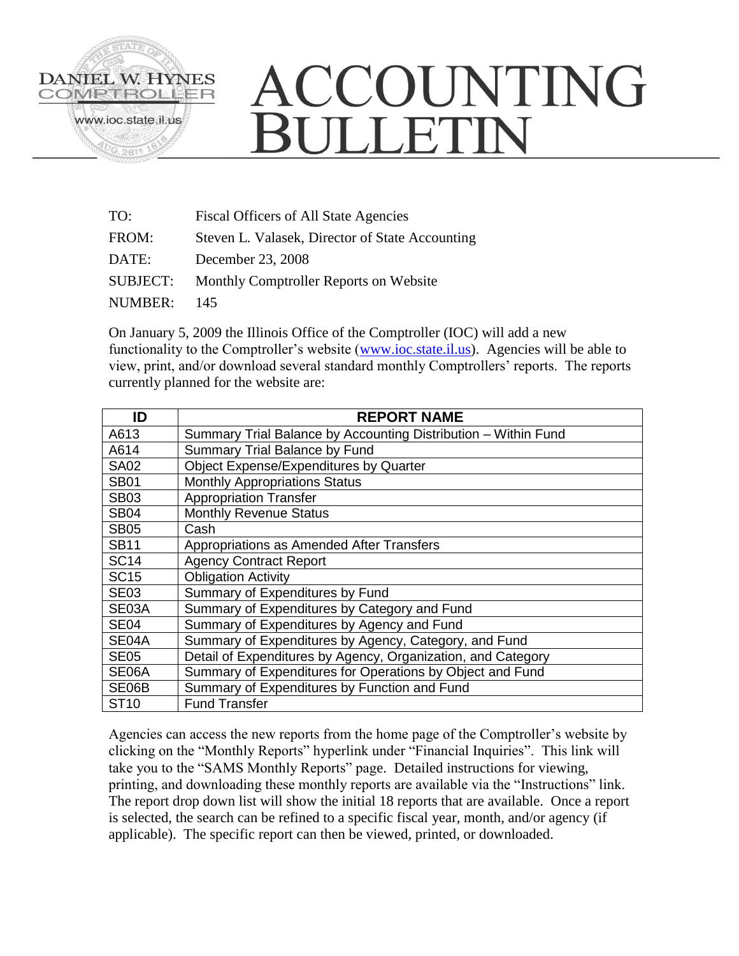

## ACCOUNTING **BULLETIN**

| TO:      | <b>Fiscal Officers of All State Agencies</b>    |
|----------|-------------------------------------------------|
| FROM:    | Steven L. Valasek, Director of State Accounting |
| DATE:    | December 23, 2008                               |
| SUBJECT: | Monthly Comptroller Reports on Website          |
| NUMBER:  | 145                                             |
|          |                                                 |

On January 5, 2009 the Illinois Office of the Comptroller (IOC) will add a new functionality to the Comptroller's website [\(www.ioc.state.il.us\)](http://www.ioc.state.il.us/). Agencies will be able to view, print, and/or download several standard monthly Comptrollers' reports. The reports currently planned for the website are:

| ID          | <b>REPORT NAME</b>                                             |
|-------------|----------------------------------------------------------------|
| A613        | Summary Trial Balance by Accounting Distribution - Within Fund |
| A614        | Summary Trial Balance by Fund                                  |
| <b>SA02</b> | Object Expense/Expenditures by Quarter                         |
| <b>SB01</b> | <b>Monthly Appropriations Status</b>                           |
| <b>SB03</b> | <b>Appropriation Transfer</b>                                  |
| <b>SB04</b> | <b>Monthly Revenue Status</b>                                  |
| <b>SB05</b> | Cash                                                           |
| <b>SB11</b> | Appropriations as Amended After Transfers                      |
| <b>SC14</b> | <b>Agency Contract Report</b>                                  |
| <b>SC15</b> | <b>Obligation Activity</b>                                     |
| <b>SE03</b> | Summary of Expenditures by Fund                                |
| SE03A       | Summary of Expenditures by Category and Fund                   |
| <b>SE04</b> | Summary of Expenditures by Agency and Fund                     |
| SE04A       | Summary of Expenditures by Agency, Category, and Fund          |
| <b>SE05</b> | Detail of Expenditures by Agency, Organization, and Category   |
| SE06A       | Summary of Expenditures for Operations by Object and Fund      |
| SE06B       | Summary of Expenditures by Function and Fund                   |
| ST10        | <b>Fund Transfer</b>                                           |

Agencies can access the new reports from the home page of the Comptroller's website by clicking on the "Monthly Reports" hyperlink under "Financial Inquiries". This link will take you to the "SAMS Monthly Reports" page. Detailed instructions for viewing, printing, and downloading these monthly reports are available via the "Instructions" link. The report drop down list will show the initial 18 reports that are available. Once a report is selected, the search can be refined to a specific fiscal year, month, and/or agency (if applicable). The specific report can then be viewed, printed, or downloaded.